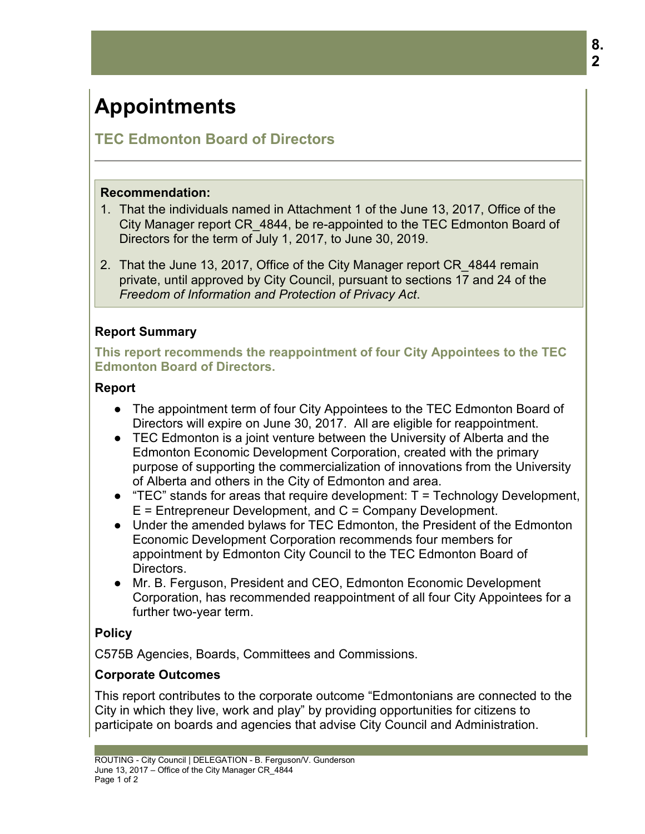# **Appointments**

## **TEC Edmonton Board of Directors**

#### **Recommendation:**

- 1. That the individuals named in Attachment 1 of the June 13, 2017, Office of the City Manager report CR\_4844, be re-appointed to the TEC Edmonton Board of Directors for the term of July 1, 2017, to June 30, 2019.
- 2. That the June 13, 2017, Office of the City Manager report CR\_4844 remain private, until approved by City Council, pursuant to sections 17 and 24 of the *Freedom of Information and Protection of Privacy Act*.

## **Report Summary**

**This report recommends the reappointment of four City Appointees to the TEC Edmonton Board of Directors.**

## **Report**

- The appointment term of four City Appointees to the TEC Edmonton Board of Directors will expire on June 30, 2017. All are eligible for reappointment.
- TEC Edmonton is a joint venture between the University of Alberta and the Edmonton Economic Development Corporation, created with the primary purpose of supporting the commercialization of innovations from the University of Alberta and others in the City of Edmonton and area.
- $\bullet$  "TEC" stands for areas that require development: T = Technology Development, E = Entrepreneur Development, and C = Company Development.
- Under the amended bylaws for TEC Edmonton, the President of the Edmonton Economic Development Corporation recommends four members for appointment by Edmonton City Council to the TEC Edmonton Board of Directors.
- Mr. B. Ferguson, President and CEO, Edmonton Economic Development Corporation, has recommended reappointment of all four City Appointees for a further two-year term.

## **Policy**

C575B Agencies, Boards, Committees and Commissions.

## **Corporate Outcomes**

This report contributes to the corporate outcome "Edmontonians are connected to the City in which they live, work and play" by providing opportunities for citizens to participate on boards and agencies that advise City Council and Administration.